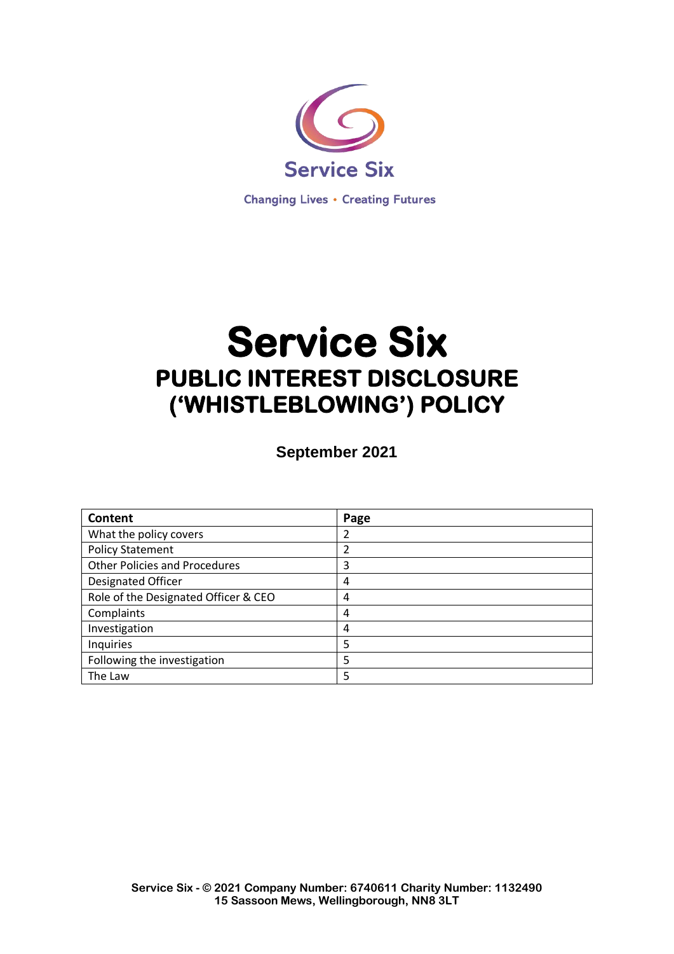

# **Service Six PUBLIC INTEREST DISCLOSURE ('WHISTLEBLOWING') POLICY**

**September 2021**

| Content                              | Page           |
|--------------------------------------|----------------|
| What the policy covers               | 2              |
| <b>Policy Statement</b>              | $\mathfrak{p}$ |
| <b>Other Policies and Procedures</b> | 3              |
| <b>Designated Officer</b>            | 4              |
| Role of the Designated Officer & CEO | 4              |
| Complaints                           | 4              |
| Investigation                        | 4              |
| Inquiries                            | 5              |
| Following the investigation          | 5              |
| The Law                              | 5              |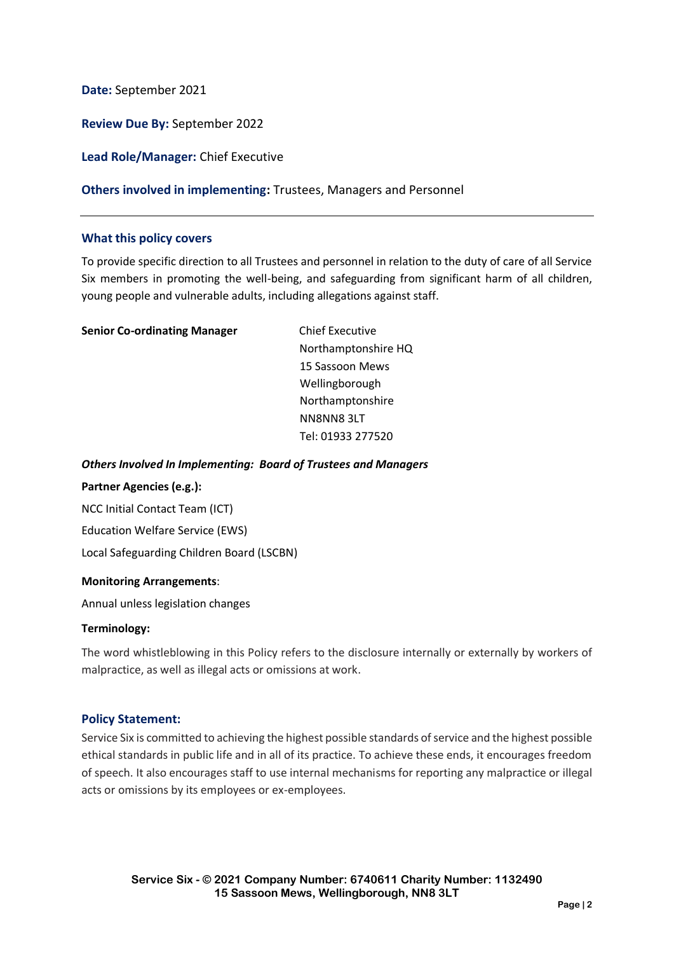**Date:** September 2021

**Review Due By:** September 2022

**Lead Role/Manager:** Chief Executive

#### **Others involved in implementing:** Trustees, Managers and Personnel

#### **What this policy covers**

To provide specific direction to all Trustees and personnel in relation to the duty of care of all Service Six members in promoting the well-being, and safeguarding from significant harm of all children, young people and vulnerable adults, including allegations against staff.

| <b>Senior Co-ordinating Manager</b> | <b>Chief Executive</b> |
|-------------------------------------|------------------------|
|                                     | Northamptonshire HQ    |
|                                     | 15 Sassoon Mews        |
|                                     | Wellingborough         |
|                                     | Northamptonshire       |
|                                     | NN8NN83LT              |
|                                     | Tel: 01933 277520      |
|                                     |                        |

#### *Others Involved In Implementing: Board of Trustees and Managers*

#### **Partner Agencies (e.g.):**

NCC Initial Contact Team (ICT) Education Welfare Service (EWS) Local Safeguarding Children Board (LSCBN)

#### **Monitoring Arrangements**:

Annual unless legislation changes

#### **Terminology:**

The word whistleblowing in this Policy refers to the disclosure internally or externally by workers of malpractice, as well as illegal acts or omissions at work.

#### **Policy Statement:**

Service Six is committed to achieving the highest possible standards of service and the highest possible ethical standards in public life and in all of its practice. To achieve these ends, it encourages freedom of speech. It also encourages staff to use internal mechanisms for reporting any malpractice or illegal acts or omissions by its employees or ex-employees.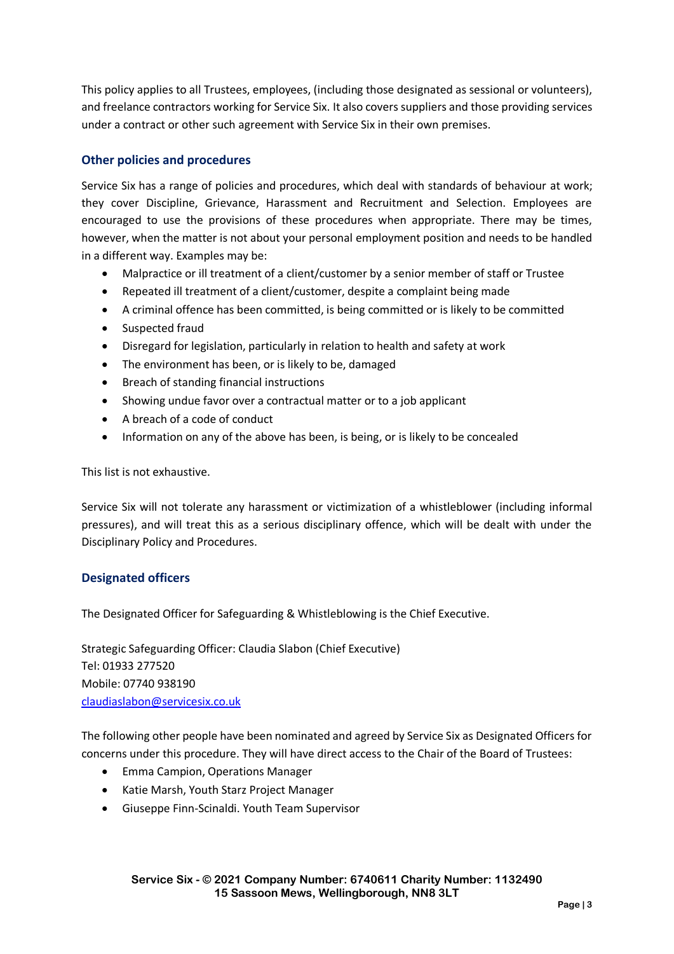This policy applies to all Trustees, employees, (including those designated as sessional or volunteers), and freelance contractors working for Service Six. It also covers suppliers and those providing services under a contract or other such agreement with Service Six in their own premises.

# **Other policies and procedures**

Service Six has a range of policies and procedures, which deal with standards of behaviour at work; they cover Discipline, Grievance, Harassment and Recruitment and Selection. Employees are encouraged to use the provisions of these procedures when appropriate. There may be times, however, when the matter is not about your personal employment position and needs to be handled in a different way. Examples may be:

- Malpractice or ill treatment of a client/customer by a senior member of staff or Trustee
- Repeated ill treatment of a client/customer, despite a complaint being made
- A criminal offence has been committed, is being committed or is likely to be committed
- Suspected fraud
- Disregard for legislation, particularly in relation to health and safety at work
- The environment has been, or is likely to be, damaged
- Breach of standing financial instructions
- Showing undue favor over a contractual matter or to a job applicant
- A breach of a code of conduct
- Information on any of the above has been, is being, or is likely to be concealed

This list is not exhaustive.

Service Six will not tolerate any harassment or victimization of a whistleblower (including informal pressures), and will treat this as a serious disciplinary offence, which will be dealt with under the Disciplinary Policy and Procedures.

# **Designated officers**

The Designated Officer for Safeguarding & Whistleblowing is the Chief Executive.

Strategic Safeguarding Officer: Claudia Slabon (Chief Executive) Tel: 01933 277520 Mobile: 07740 938190 [claudiaslabon@servicesix.co.uk](mailto:claudiaslabon@servicesix.co.uk)

The following other people have been nominated and agreed by Service Six as Designated Officers for concerns under this procedure. They will have direct access to the Chair of the Board of Trustees:

- Emma Campion, Operations Manager
- Katie Marsh, Youth Starz Project Manager
- Giuseppe Finn-Scinaldi. Youth Team Supervisor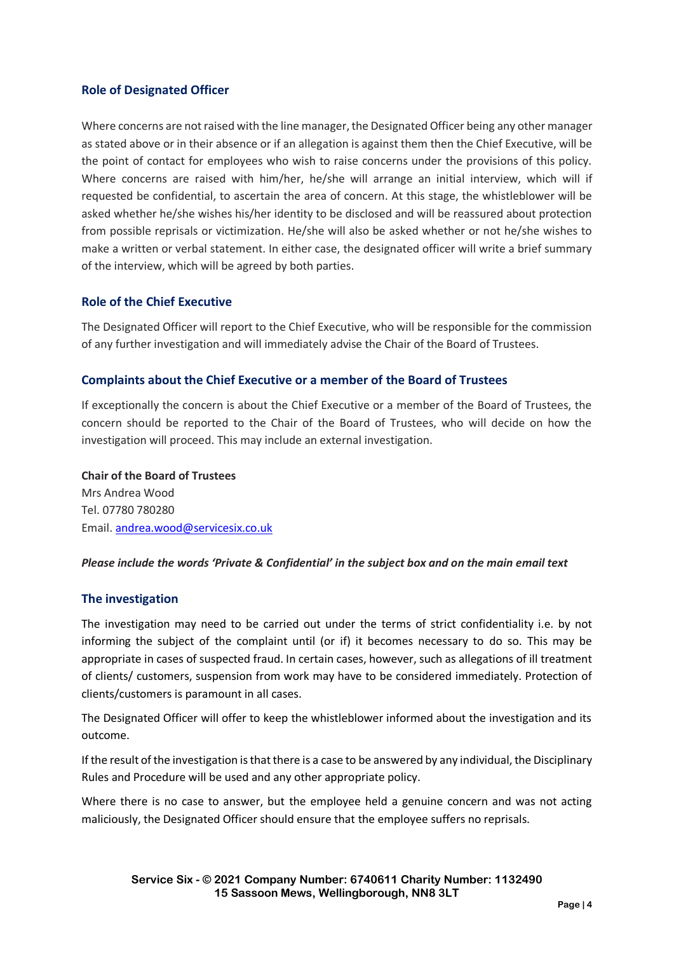# **Role of Designated Officer**

Where concerns are not raised with the line manager, the Designated Officer being any other manager as stated above or in their absence or if an allegation is against them then the Chief Executive, will be the point of contact for employees who wish to raise concerns under the provisions of this policy. Where concerns are raised with him/her, he/she will arrange an initial interview, which will if requested be confidential, to ascertain the area of concern. At this stage, the whistleblower will be asked whether he/she wishes his/her identity to be disclosed and will be reassured about protection from possible reprisals or victimization. He/she will also be asked whether or not he/she wishes to make a written or verbal statement. In either case, the designated officer will write a brief summary of the interview, which will be agreed by both parties.

# **Role of the Chief Executive**

The Designated Officer will report to the Chief Executive, who will be responsible for the commission of any further investigation and will immediately advise the Chair of the Board of Trustees.

# **Complaints about the Chief Executive or a member of the Board of Trustees**

If exceptionally the concern is about the Chief Executive or a member of the Board of Trustees, the concern should be reported to the Chair of the Board of Trustees, who will decide on how the investigation will proceed. This may include an external investigation.

**Chair of the Board of Trustees** Mrs Andrea Wood Tel. 07780 780280 Email[. andrea.wood@servicesix.co.uk](mailto:andrea.wood@servicesix.co.uk)

# *Please include the words 'Private & Confidential' in the subject box and on the main email text*

# **The investigation**

The investigation may need to be carried out under the terms of strict confidentiality i.e. by not informing the subject of the complaint until (or if) it becomes necessary to do so. This may be appropriate in cases of suspected fraud. In certain cases, however, such as allegations of ill treatment of clients/ customers, suspension from work may have to be considered immediately. Protection of clients/customers is paramount in all cases.

The Designated Officer will offer to keep the whistleblower informed about the investigation and its outcome.

If the result of the investigation is that there is a case to be answered by any individual, the Disciplinary Rules and Procedure will be used and any other appropriate policy.

Where there is no case to answer, but the employee held a genuine concern and was not acting maliciously, the Designated Officer should ensure that the employee suffers no reprisals.